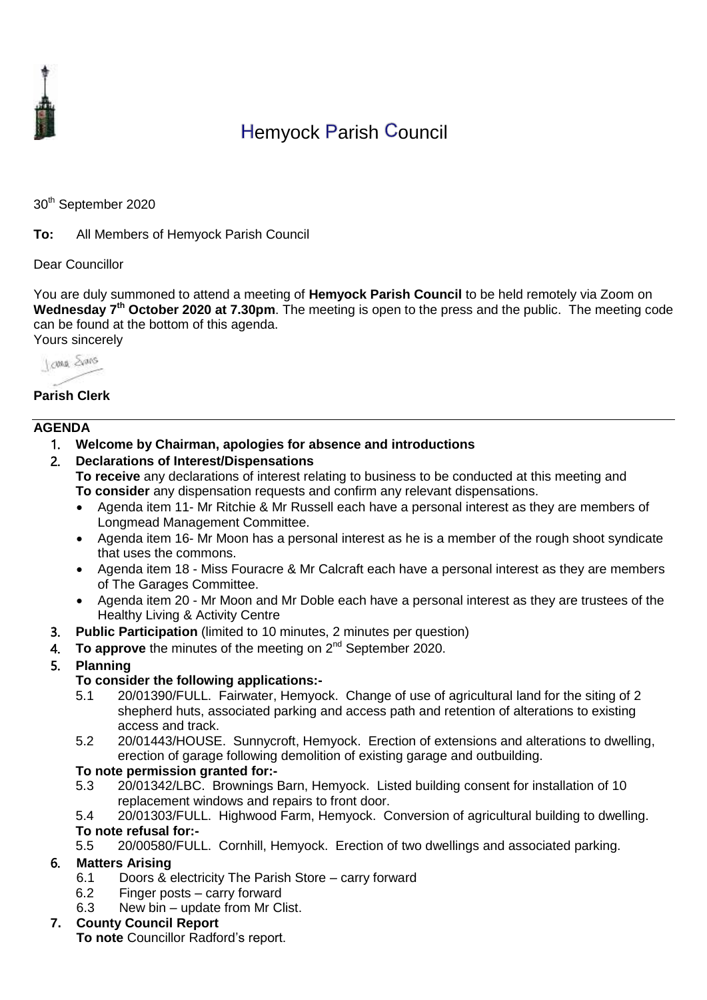

# Hemyock Parish Council

30<sup>th</sup> September 2020

**To:** All Members of Hemyock Parish Council

#### Dear Councillor

You are duly summoned to attend a meeting of **Hemyock Parish Council** to be held remotely via Zoom on **Wednesday 7 th October 2020 at 7.30pm**. The meeting is open to the press and the public. The meeting code can be found at the bottom of this agenda. Yours sincerely

I awa Shans

### **Parish Clerk**

#### **AGENDA**

- 1. **Welcome by Chairman, apologies for absence and introductions**
- 2. **Declarations of Interest/Dispensations To receive** any declarations of interest relating to business to be conducted at this meeting and **To consider** any dispensation requests and confirm any relevant dispensations.
	- Agenda item 11- Mr Ritchie & Mr Russell each have a personal interest as they are members of Longmead Management Committee.
	- Agenda item 16- Mr Moon has a personal interest as he is a member of the rough shoot syndicate that uses the commons.
	- Agenda item 18 Miss Fouracre & Mr Calcraft each have a personal interest as they are members of The Garages Committee.
	- Agenda item 20 Mr Moon and Mr Doble each have a personal interest as they are trustees of the Healthy Living & Activity Centre
- 3. **Public Participation** (limited to 10 minutes, 2 minutes per question)
- 4. To approve the minutes of the meeting on 2<sup>nd</sup> September 2020.
- 5. **Planning**

#### **To consider the following applications:-**

- 5.1 20/01390/FULL. Fairwater, Hemyock. Change of use of agricultural land for the siting of 2 shepherd huts, associated parking and access path and retention of alterations to existing access and track.
- 5.2 20/01443/HOUSE. Sunnycroft, Hemyock. Erection of extensions and alterations to dwelling, erection of garage following demolition of existing garage and outbuilding.

#### **To note permission granted for:-**

- 5.3 20/01342/LBC. Brownings Barn, Hemyock. Listed building consent for installation of 10 replacement windows and repairs to front door.
- 5.4 20/01303/FULL. Highwood Farm, Hemyock. Conversion of agricultural building to dwelling. **To note refusal for:-**
- 5.5 20/00580/FULL. Cornhill, Hemyock. Erection of two dwellings and associated parking.

#### 6. **Matters Arising**

- 6.1 Doors & electricity The Parish Store carry forward
- 6.2 Finger posts carry forward
- 6.3 New bin update from Mr Clist.

#### **7. County Council Report**

**To note** Councillor Radford's report.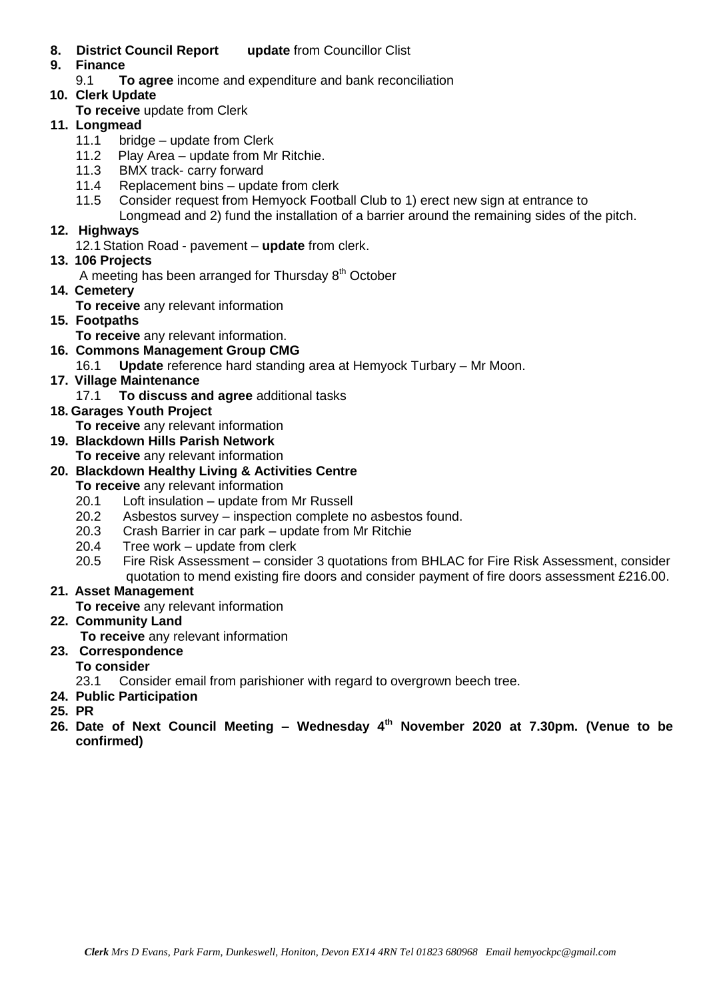- **8. District Council Report update** from Councillor Clist
- **9. Finance** 
	- 9.1 **To agree** income and expenditure and bank reconciliation
- **10. Clerk Update** 
	- **To receive** update from Clerk

### **11. Longmead**

- 11.1 bridge update from Clerk
- 11.2 Play Area update from Mr Ritchie.
- 11.3 BMX track- carry forward
- 11.4 Replacement bins update from clerk
- 11.5 Consider request from Hemyock Football Club to 1) erect new sign at entrance to
	- Longmead and 2) fund the installation of a barrier around the remaining sides of the pitch.

## **12. Highways**

12.1Station Road - pavement – **update** from clerk.

**13. 106 Projects** 

A meeting has been arranged for Thursday  $8<sup>th</sup>$  October

- **14. Cemetery** 
	- **To receive** any relevant information
- **15. Footpaths**
	- **To receive** any relevant information.
- **16. Commons Management Group CMG**
	- 16.1 **Update** reference hard standing area at Hemyock Turbary Mr Moon.
- **17. Village Maintenance**
	- 17.1 **To discuss and agree** additional tasks
- **18. Garages Youth Project**

**To receive** any relevant information

- **19. Blackdown Hills Parish Network**
	- **To receive** any relevant information

## **20. Blackdown Healthy Living & Activities Centre**

**To receive** any relevant information

- 20.1 Loft insulation update from Mr Russell
- 20.2 Asbestos survey inspection complete no asbestos found.
- 20.3 Crash Barrier in car park update from Mr Ritchie
- 20.4 Tree work update from clerk
- 20.5 Fire Risk Assessment consider 3 quotations from BHLAC for Fire Risk Assessment, consider quotation to mend existing fire doors and consider payment of fire doors assessment £216.00.

## **21. Asset Management**

**To receive** any relevant information

## **22. Community Land**

**To receive** any relevant information

**23. Correspondence**

## **To consider**

23.1 Consider email from parishioner with regard to overgrown beech tree.

- **24. Public Participation**
- **25. PR**
- **26. Date of Next Council Meeting – Wednesday 4 th November 2020 at 7.30pm. (Venue to be confirmed)**